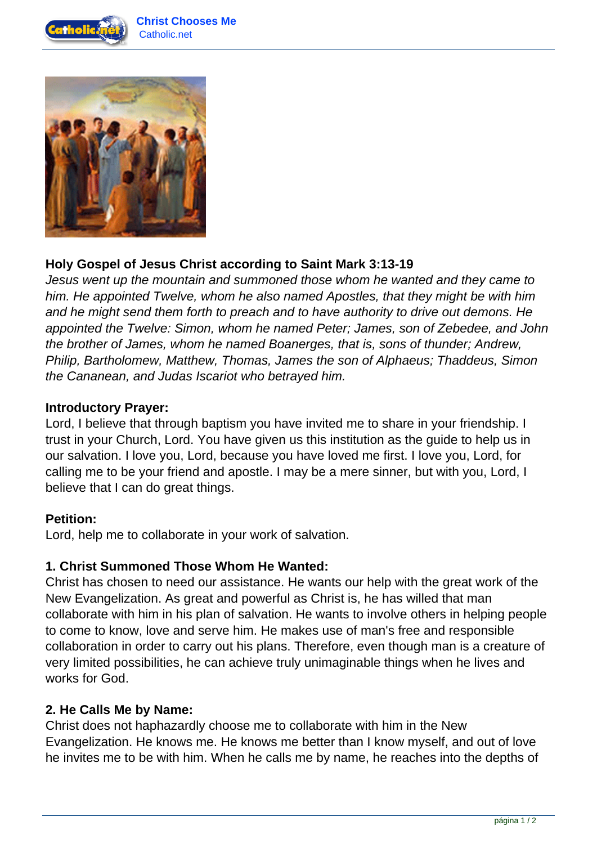



# **Holy Gospel of Jesus Christ according to Saint Mark 3:13-19**

Jesus went up the mountain and summoned those whom he wanted and they came to him. He appointed Twelve, whom he also named Apostles, that they might be with him and he might send them forth to preach and to have authority to drive out demons. He appointed the Twelve: Simon, whom he named Peter; James, son of Zebedee, and John the brother of James, whom he named Boanerges, that is, sons of thunder; Andrew, Philip, Bartholomew, Matthew, Thomas, James the son of Alphaeus; Thaddeus, Simon the Cananean, and Judas Iscariot who betrayed him.

## **Introductory Prayer:**

Lord, I believe that through baptism you have invited me to share in your friendship. I trust in your Church, Lord. You have given us this institution as the guide to help us in our salvation. I love you, Lord, because you have loved me first. I love you, Lord, for calling me to be your friend and apostle. I may be a mere sinner, but with you, Lord, I believe that I can do great things.

#### **Petition:**

Lord, help me to collaborate in your work of salvation.

## **1. Christ Summoned Those Whom He Wanted:**

Christ has chosen to need our assistance. He wants our help with the great work of the New Evangelization. As great and powerful as Christ is, he has willed that man collaborate with him in his plan of salvation. He wants to involve others in helping people to come to know, love and serve him. He makes use of man's free and responsible collaboration in order to carry out his plans. Therefore, even though man is a creature of very limited possibilities, he can achieve truly unimaginable things when he lives and works for God.

#### **2. He Calls Me by Name:**

Christ does not haphazardly choose me to collaborate with him in the New Evangelization. He knows me. He knows me better than I know myself, and out of love he invites me to be with him. When he calls me by name, he reaches into the depths of